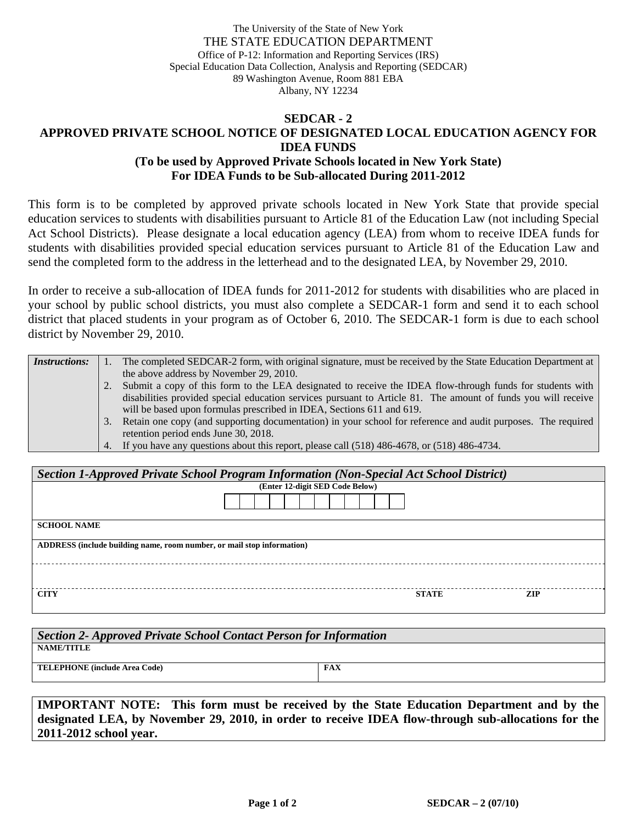The University of the State of New York THE STATE EDUCATION DEPARTMENT Office of P-12: Information and Reporting Services (IRS) Special Education Data Collection, Analysis and Reporting (SEDCAR) 89 Washington Avenue, Room 881 EBA Albany, NY 12234

## **SEDCAR - 2**

## **APPROVED PRIVATE SCHOOL NOTICE OF DESIGNATED LOCAL EDUCATION AGENCY FOR IDEA FUNDS (To be used by Approved Private Schools located in New York State)**

**For IDEA Funds to be Sub-allocated During 2011-2012** 

This form is to be completed by approved private schools located in New York State that provide special education services to students with disabilities pursuant to Article 81 of the Education Law (not including Special Act School Districts). Please designate a local education agency (LEA) from whom to receive IDEA funds for students with disabilities provided special education services pursuant to Article 81 of the Education Law and send the completed form to the address in the letterhead and to the designated LEA, by November 29, 2010.

In order to receive a sub-allocation of IDEA funds for 2011-2012 for students with disabilities who are placed in your school by public school districts, you must also complete a SEDCAR-1 form and send it to each school district that placed students in your program as of October 6, 2010. The SEDCAR-1 form is due to each school district by November 29, 2010.

| <i>Instructions:</i> |    | The completed SEDCAR-2 form, with original signature, must be received by the State Education Department at   |
|----------------------|----|---------------------------------------------------------------------------------------------------------------|
|                      |    | the above address by November 29, 2010.                                                                       |
|                      |    | Submit a copy of this form to the LEA designated to receive the IDEA flow-through funds for students with     |
|                      |    | disabilities provided special education services pursuant to Article 81. The amount of funds you will receive |
|                      |    | will be based upon formulas prescribed in IDEA, Sections 611 and 619.                                         |
|                      | 3. | Retain one copy (and supporting documentation) in your school for reference and audit purposes. The required  |
|                      |    | retention period ends June 30, 2018.                                                                          |
|                      |    | 4. If you have any questions about this report, please call (518) 486-4678, or (518) 486-4734.                |

| Section 1-Approved Private School Program Information (Non-Special Act School District) |              |     |  |  |  |  |  |  |
|-----------------------------------------------------------------------------------------|--------------|-----|--|--|--|--|--|--|
| (Enter 12-digit SED Code Below)                                                         |              |     |  |  |  |  |  |  |
|                                                                                         |              |     |  |  |  |  |  |  |
| <b>SCHOOL NAME</b>                                                                      |              |     |  |  |  |  |  |  |
| ADDRESS (include building name, room number, or mail stop information)                  |              |     |  |  |  |  |  |  |
|                                                                                         |              |     |  |  |  |  |  |  |
| <b>CITY</b>                                                                             | <b>STATE</b> | ZIP |  |  |  |  |  |  |

| Section 2- Approved Private School Contact Person for Information |            |  |  |  |  |  |
|-------------------------------------------------------------------|------------|--|--|--|--|--|
| NAME/TITLE                                                        |            |  |  |  |  |  |
| <b>TELEPHONE</b> (include Area Code)                              | <b>FAX</b> |  |  |  |  |  |
|                                                                   |            |  |  |  |  |  |

**IMPORTANT NOTE: This form must be received by the State Education Department and by the designated LEA, by November 29, 2010, in order to receive IDEA flow-through sub-allocations for the 2011-2012 school year.**